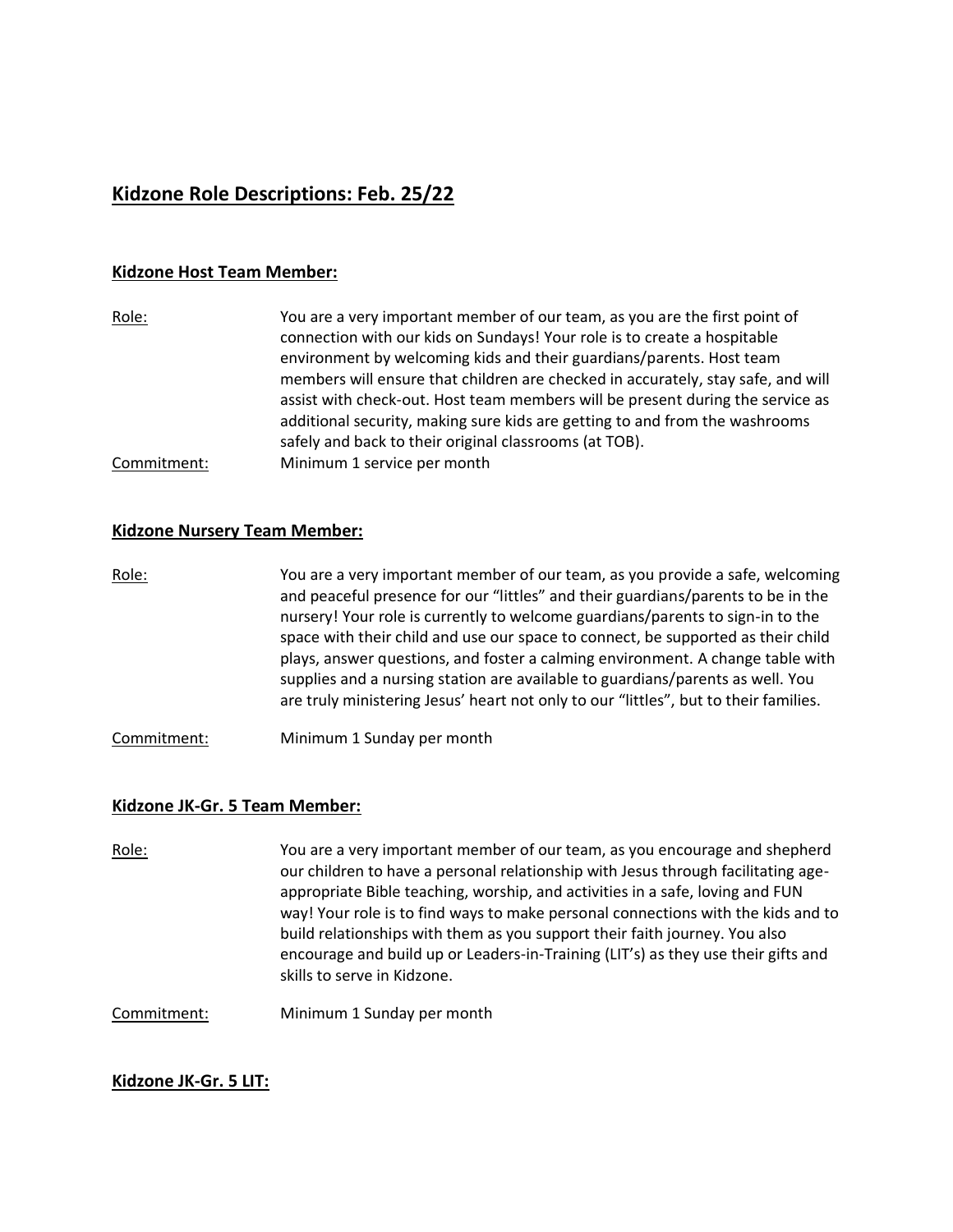# **Kidzone Role Descriptions: Feb. 25/22**

### **Kidzone Host Team Member:**

| Role:       | You are a very important member of our team, as you are the first point of<br>connection with our kids on Sundays! Your role is to create a hospitable<br>environment by welcoming kids and their guardians/parents. Host team<br>members will ensure that children are checked in accurately, stay safe, and will |
|-------------|--------------------------------------------------------------------------------------------------------------------------------------------------------------------------------------------------------------------------------------------------------------------------------------------------------------------|
|             | assist with check-out. Host team members will be present during the service as<br>additional security, making sure kids are getting to and from the washrooms<br>safely and back to their original classrooms (at TOB).                                                                                            |
| Commitment: | Minimum 1 service per month                                                                                                                                                                                                                                                                                        |

#### **Kidzone Nursery Team Member:**

- Role: You are a very important member of our team, as you provide a safe, welcoming and peaceful presence for our "littles" and their guardians/parents to be in the nursery! Your role is currently to welcome guardians/parents to sign-in to the space with their child and use our space to connect, be supported as their child plays, answer questions, and foster a calming environment. A change table with supplies and a nursing station are available to guardians/parents as well. You are truly ministering Jesus' heart not only to our "littles", but to their families.
- Commitment: Minimum 1 Sunday per month

# **Kidzone JK-Gr. 5 Team Member:**

Role: You are a very important member of our team, as you encourage and shepherd our children to have a personal relationship with Jesus through facilitating ageappropriate Bible teaching, worship, and activities in a safe, loving and FUN way! Your role is to find ways to make personal connections with the kids and to build relationships with them as you support their faith journey. You also encourage and build up or Leaders-in-Training (LIT's) as they use their gifts and skills to serve in Kidzone.

Commitment: Minimum 1 Sunday per month

# **Kidzone JK-Gr. 5 LIT:**